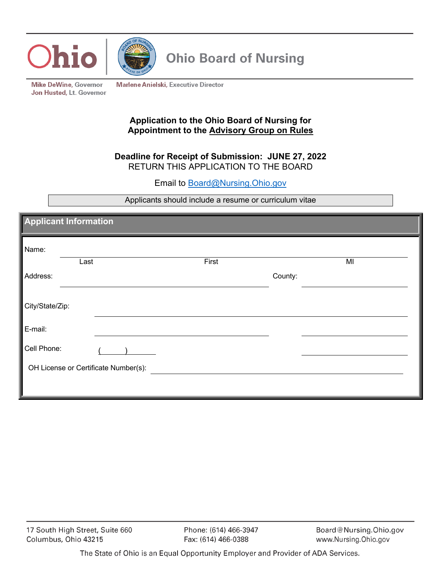



**Ohio Board of Nursing** 

**Mike DeWine, Governor** Jon Husted, Lt. Governor **Marlene Anielski, Executive Director** 

## **Application to the Ohio Board of Nursing for Appointment to the Advisory Group on Rules**

## **Deadline for Receipt of Submission: JUNE 27, 2022** RETURN THIS APPLICATION TO THE BOARD

Email to Board@Nursing.Ohio.gov

Applicants should include a resume or curriculum vitae

| <b>Applicant Information</b>         |  |  |
|--------------------------------------|--|--|
|                                      |  |  |
|                                      |  |  |
|                                      |  |  |
|                                      |  |  |
|                                      |  |  |
|                                      |  |  |
|                                      |  |  |
|                                      |  |  |
|                                      |  |  |
| OH License or Certificate Number(s): |  |  |
|                                      |  |  |
|                                      |  |  |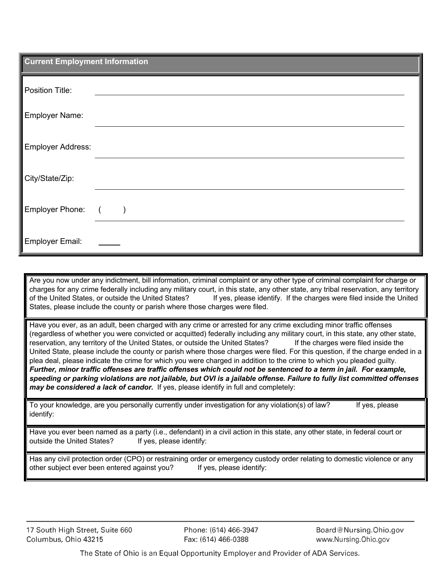| <b>Current Employment Information</b> |                                                             |
|---------------------------------------|-------------------------------------------------------------|
| Position Title:                       |                                                             |
| Employer Name:                        |                                                             |
| <b>Employer Address:</b>              |                                                             |
| City/State/Zip:                       |                                                             |
| Employer Phone:                       | $\sqrt{2}$<br>$\left( \begin{array}{c} \end{array} \right)$ |
| <b>Employer Email:</b>                |                                                             |

Are you now under any indictment, bill information, criminal complaint or any other type of criminal complaint for charge or charges for any crime federally including any military court, in this state, any other state, any tribal reservation, any territory of the United States, or outside the United States? If yes, please identify. If the charges were filed inside the United States, please include the county or parish where those charges were filed.

Have you ever, as an adult, been charged with any crime or arrested for any crime excluding minor traffic offenses (regardless of whether you were convicted or acquitted) federally including any military court, in this state, any other state, reservation, any territory of the United States, or outside the United States? If the charges were filed inside the United State, please include the county or parish where those charges were filed. For this question, if the charge ended in a plea deal, please indicate the crime for which you were charged in addition to the crime to which you pleaded guilty. *Further, minor traffic offenses are traffic offenses which could not be sentenced to a term in jail. For example, speeding or parking violations are not jailable, but OVI is a jailable offense. Failure to fully list committed offenses may be considered a lack of candor.* If yes, please identify in full and completely:

To your knowledge, are you personally currently under investigation for any violation(s) of law? If yes, please identify:

Have you ever been named as a party (i.e., defendant) in a civil action in this state, any other state, in federal court or outside the United States? If yes, please identify:

Has any civil protection order (CPO) or restraining order or emergency custody order relating to domestic violence or any other subject ever been entered against you? If yes, please identify:

17 South High Street, Suite 660 Columbus, Ohio 43215

Phone: (614) 466-3947 Fax: (614) 466-0388

Board@Nursing.Ohio.gov www.Nursing.Ohio.gov

The State of Ohio is an Equal Opportunity Employer and Provider of ADA Services.